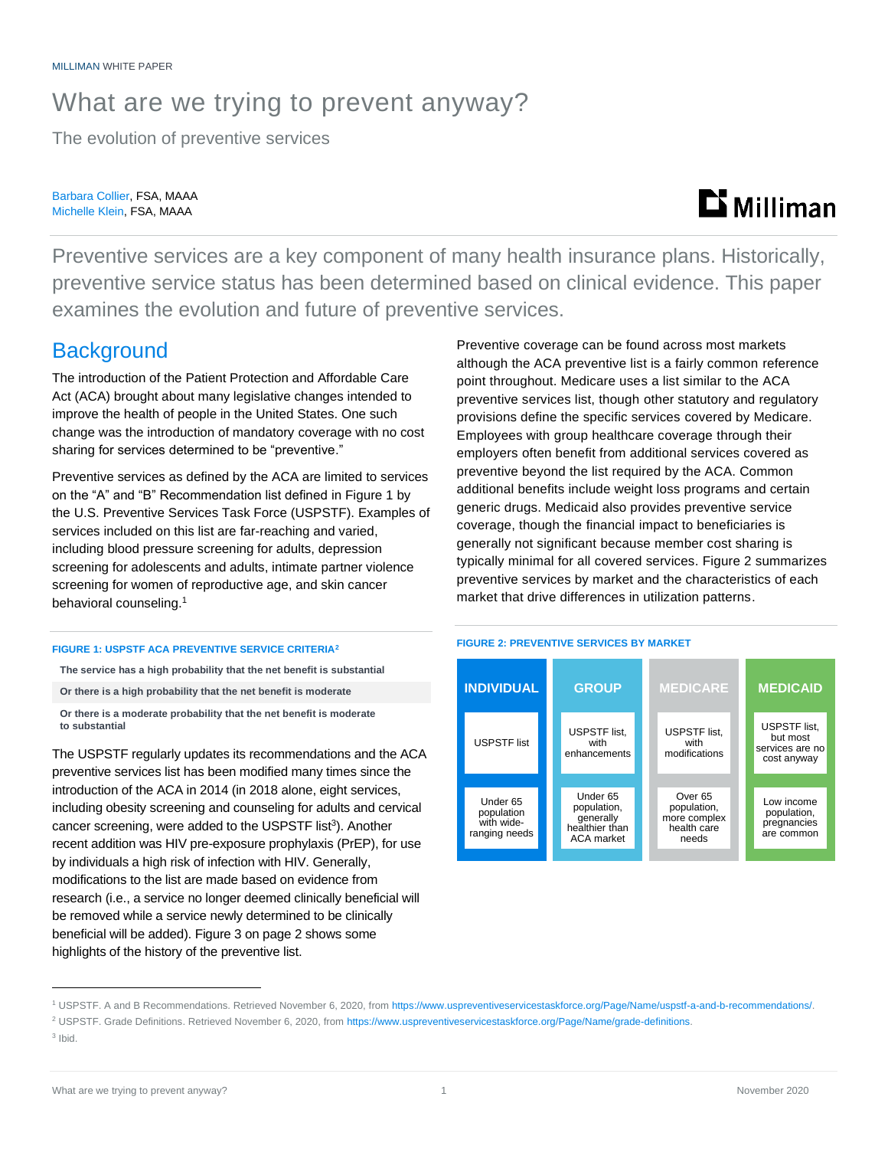## What are we trying to prevent anyway?

The evolution of preventive services

Barbara Collier, FSA, MAAA Michelle Klein, FSA, MAAA

## **Li** Milliman

Preventive services are a key component of many health insurance plans. Historically, preventive service status has been determined based on clinical evidence. This paper examines the evolution and future of preventive services.

### **Background**

The introduction of the Patient Protection and Affordable Care Act (ACA) brought about many legislative changes intended to improve the health of people in the United States. One such change was the introduction of mandatory coverage with no cost sharing for services determined to be "preventive."

Preventive services as defined by the ACA are limited to services on the "A" and "B" Recommendation list defined in Figure 1 by the U.S. Preventive Services Task Force (USPSTF). Examples of services included on this list are far-reaching and varied, including blood pressure screening for adults, depression screening for adolescents and adults, intimate partner violence screening for women of reproductive age, and skin cancer behavioral counseling.<sup>1</sup>

#### **FIGURE 1: USPSTF ACA PREVENTIVE SERVICE CRITERIA<sup>2</sup>**

**The service has a high probability that the net benefit is substantial**

- **Or there is a high probability that the net benefit is moderate**
- **Or there is a moderate probability that the net benefit is moderate to substantial**

The USPSTF regularly updates its recommendations and the ACA preventive services list has been modified many times since the introduction of the ACA in 2014 (in 2018 alone, eight services, including obesity screening and counseling for adults and cervical cancer screening, were added to the USPSTF list<sup>3</sup>). Another recent addition was HIV pre-exposure prophylaxis (PrEP), for use by individuals a high risk of infection with HIV. Generally, modifications to the list are made based on evidence from research (i.e., a service no longer deemed clinically beneficial will be removed while a service newly determined to be clinically beneficial will be added). Figure 3 on page 2 shows some highlights of the history of the preventive list.

Preventive coverage can be found across most markets although the ACA preventive list is a fairly common reference point throughout. Medicare uses a list similar to the ACA preventive services list, though other statutory and regulatory provisions define the specific services covered by Medicare. Employees with group healthcare coverage through their employers often benefit from additional services covered as preventive beyond the list required by the ACA. Common additional benefits include weight loss programs and certain generic drugs. Medicaid also provides preventive service coverage, though the financial impact to beneficiaries is generally not significant because member cost sharing is typically minimal for all covered services. Figure 2 summarizes preventive services by market and the characteristics of each market that drive differences in utilization patterns.

#### **FIGURE 2: PREVENTIVE SERVICES BY MARKET**



<sup>1</sup> USPSTF. A and B Recommendations. Retrieved November 6, 2020, fro[m https://www.uspreventiveservicestaskforce.org/Page/Name/uspstf-a-and-b-recommendations/.](https://www.uspreventiveservicestaskforce.org/Page/Name/uspstf-a-and-b-recommendations/)

<sup>&</sup>lt;sup>2</sup> USPSTF. Grade Definitions. Retrieved November 6, 2020, fro[m https://www.uspreventiveservicestaskforce.org/Page/Name/grade-definitions.](https://www.uspreventiveservicestaskforce.org/Page/Name/grade-definitions)

<sup>3</sup> Ibid.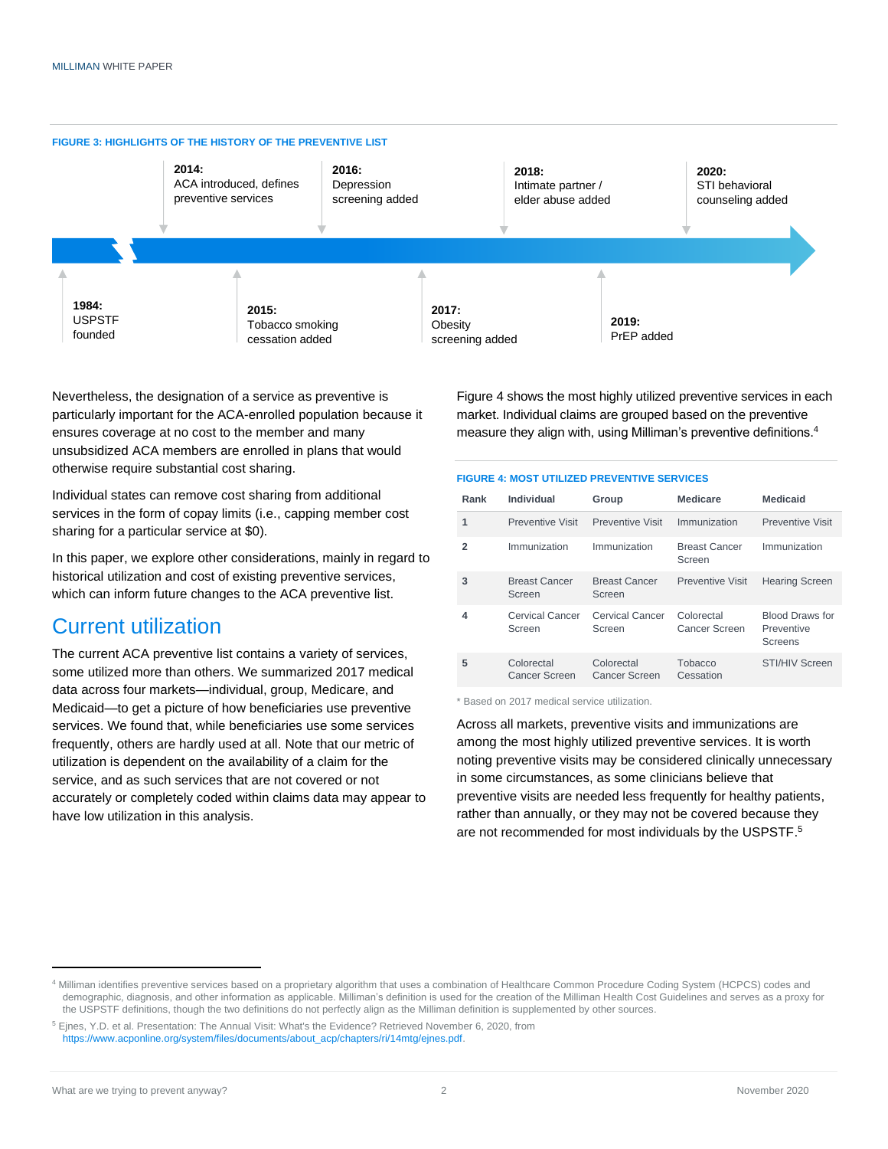

Nevertheless, the designation of a service as preventive is particularly important for the ACA-enrolled population because it ensures coverage at no cost to the member and many unsubsidized ACA members are enrolled in plans that would otherwise require substantial cost sharing.

Individual states can remove cost sharing from additional services in the form of copay limits (i.e., capping member cost sharing for a particular service at \$0).

In this paper, we explore other considerations, mainly in regard to historical utilization and cost of existing preventive services, which can inform future changes to the ACA preventive list.

### Current utilization

The current ACA preventive list contains a variety of services, some utilized more than others. We summarized 2017 medical data across four markets—individual, group, Medicare, and Medicaid—to get a picture of how beneficiaries use preventive services. We found that, while beneficiaries use some services frequently, others are hardly used at all. Note that our metric of utilization is dependent on the availability of a claim for the service, and as such services that are not covered or not accurately or completely coded within claims data may appear to have low utilization in this analysis.

Figure 4 shows the most highly utilized preventive services in each market. Individual claims are grouped based on the preventive measure they align with, using Milliman's preventive definitions. 4

#### **FIGURE 4: MOST UTILIZED PREVENTIVE SERVICES**

| Rank | Individual                       | Group                          | <b>Medicare</b>                | <b>Medicaid</b>                                 |
|------|----------------------------------|--------------------------------|--------------------------------|-------------------------------------------------|
|      | Preventive Visit                 | Preventive Visit               | Immunization                   | Preventive Visit                                |
| 2    | Immunization                     | Immunization                   | <b>Breast Cancer</b><br>Screen | Immunization                                    |
| 3    | <b>Breast Cancer</b><br>Screen   | <b>Breast Cancer</b><br>Screen | <b>Preventive Visit</b>        | <b>Hearing Screen</b>                           |
| 4    | <b>Cervical Cancer</b><br>Screen | Cervical Cancer<br>Screen      | Colorectal<br>Cancer Screen    | <b>Blood Draws for</b><br>Preventive<br>Screens |
| 5    | Colorectal<br>Cancer Screen      | Colorectal<br>Cancer Screen    | Tobacco<br>Cessation           | <b>STI/HIV Screen</b>                           |

\* Based on 2017 medical service utilization.

Across all markets, preventive visits and immunizations are among the most highly utilized preventive services. It is worth noting preventive visits may be considered clinically unnecessary in some circumstances, as some clinicians believe that preventive visits are needed less frequently for healthy patients, rather than annually, or they may not be covered because they are not recommended for most individuals by the USPSTF.<sup>5</sup>

<sup>4</sup> Milliman identifies preventive services based on a proprietary algorithm that uses a combination of Healthcare Common Procedure Coding System (HCPCS) codes and demographic, diagnosis, and other information as applicable. Milliman's definition is used for the creation of the Milliman Health Cost Guidelines and serves as a proxy for the USPSTF definitions, though the two definitions do not perfectly align as the Milliman definition is supplemented by other sources.

<sup>5</sup> Ejnes, Y.D. et al. Presentation: The Annual Visit: What's the Evidence? Retrieved November 6, 2020, from [https://www.acponline.org/system/files/documents/about\\_acp/chapters/ri/14mtg/ejnes.pdf.](https://www.acponline.org/system/files/documents/about_acp/chapters/ri/14mtg/ejnes.pdf)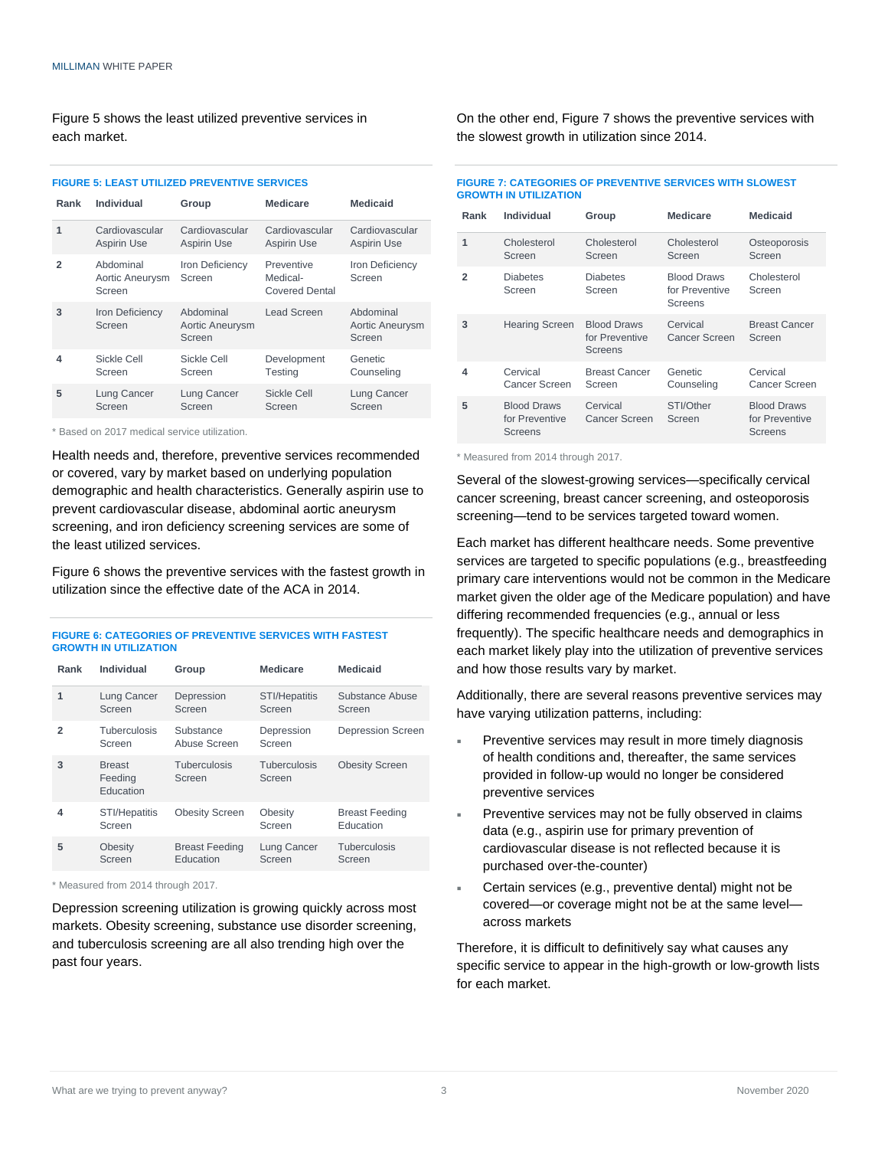Figure 5 shows the least utilized preventive services in each market.

**FIGURE 5: LEAST UTILIZED PREVENTIVE SERVICES**

| Rank | Individual                             | Group                                  | <b>Medicare</b>                                 | Medicaid                               |
|------|----------------------------------------|----------------------------------------|-------------------------------------------------|----------------------------------------|
| 1    | Cardiovascular<br><b>Aspirin Use</b>   | Cardiovascular<br><b>Aspirin Use</b>   | Cardiovascular<br><b>Aspirin Use</b>            | Cardiovascular<br><b>Aspirin Use</b>   |
| 2    | Abdominal<br>Aortic Aneurysm<br>Screen | Iron Deficiency<br>Screen              | Preventive<br>Medical-<br><b>Covered Dental</b> | Iron Deficiency<br>Screen              |
| 3    | Iron Deficiency<br>Screen              | Abdominal<br>Aortic Aneurysm<br>Screen | <b>Lead Screen</b>                              | Abdominal<br>Aortic Aneurysm<br>Screen |
| 4    | Sickle Cell<br>Screen                  | Sickle Cell<br>Screen                  | Development<br><b>Testing</b>                   | Genetic<br>Counseling                  |
| 5    | Lung Cancer<br>Screen                  | Lung Cancer<br>Screen                  | Sickle Cell<br>Screen                           | Lung Cancer<br>Screen                  |

\* Based on 2017 medical service utilization.

Health needs and, therefore, preventive services recommended or covered, vary by market based on underlying population demographic and health characteristics. Generally aspirin use to prevent cardiovascular disease, abdominal aortic aneurysm screening, and iron deficiency screening services are some of the least utilized services.

Figure 6 shows the preventive services with the fastest growth in utilization since the effective date of the ACA in 2014.

#### **FIGURE 6: CATEGORIES OF PREVENTIVE SERVICES WITH FASTEST GROWTH IN UTILIZATION**

| Rank           | Individual                            | Group                              | <b>Medicare</b>                | <b>Medicaid</b>                    |
|----------------|---------------------------------------|------------------------------------|--------------------------------|------------------------------------|
| 1              | Lung Cancer<br>Screen                 | Depression<br>Screen               | <b>STI/Hepatitis</b><br>Screen | Substance Abuse<br>Screen          |
| $\overline{2}$ | Tuberculosis<br>Screen                | Substance<br>Abuse Screen          | Depression<br>Screen           | <b>Depression Screen</b>           |
| 3              | <b>Breast</b><br>Feeding<br>Education | Tuberculosis<br>Screen             | Tuberculosis<br>Screen         | <b>Obesity Screen</b>              |
| 4              | <b>STI/Hepatitis</b><br>Screen        | <b>Obesity Screen</b>              | Obesity<br>Screen              | <b>Breast Feeding</b><br>Education |
| 5              | Obesity<br>Screen                     | <b>Breast Feeding</b><br>Education | Lung Cancer<br>Screen          | Tuberculosis<br>Screen             |

\* Measured from 2014 through 2017.

Depression screening utilization is growing quickly across most markets. Obesity screening, substance use disorder screening, and tuberculosis screening are all also trending high over the past four years.

On the other end, Figure 7 shows the preventive services with the slowest growth in utilization since 2014.

| <b>FIGURE 7: CATEGORIES OF PREVENTIVE SERVICES WITH SLOWEST</b> |  |
|-----------------------------------------------------------------|--|
| <b>GROWTH IN UTILIZATION</b>                                    |  |

| Rank | Individual                                      | Group                                           | <b>Medicare</b>                                 | <b>Medicaid</b>                                        |
|------|-------------------------------------------------|-------------------------------------------------|-------------------------------------------------|--------------------------------------------------------|
|      | Cholesterol<br>Screen                           | Cholesterol<br>Screen                           | Cholesterol<br>Screen                           | Osteoporosis<br>Screen                                 |
| 2    | <b>Diabetes</b><br>Screen                       | <b>Diabetes</b><br>Screen                       | <b>Blood Draws</b><br>for Preventive<br>Screens | Cholesterol<br>Screen                                  |
| 3    | <b>Hearing Screen</b>                           | <b>Blood Draws</b><br>for Preventive<br>Screens | Cervical<br>Cancer Screen                       | <b>Breast Cancer</b><br>Screen                         |
| 4    | Cervical<br>Cancer Screen                       | <b>Breast Cancer</b><br>Screen                  | Genetic<br>Counseling                           | Cervical<br>Cancer Screen                              |
| 5    | <b>Blood Draws</b><br>for Preventive<br>Screens | Cervical<br>Cancer Screen                       | STI/Other<br>Screen                             | <b>Blood Draws</b><br>for Preventive<br><b>Screens</b> |

\* Measured from 2014 through 2017.

Several of the slowest-growing services—specifically cervical cancer screening, breast cancer screening, and osteoporosis screening—tend to be services targeted toward women.

Each market has different healthcare needs. Some preventive services are targeted to specific populations (e.g., breastfeeding primary care interventions would not be common in the Medicare market given the older age of the Medicare population) and have differing recommended frequencies (e.g., annual or less frequently). The specific healthcare needs and demographics in each market likely play into the utilization of preventive services and how those results vary by market.

Additionally, there are several reasons preventive services may have varying utilization patterns, including:

- Preventive services may result in more timely diagnosis of health conditions and, thereafter, the same services provided in follow-up would no longer be considered preventive services
- Preventive services may not be fully observed in claims data (e.g., aspirin use for primary prevention of cardiovascular disease is not reflected because it is purchased over-the-counter)
- Certain services (e.g., preventive dental) might not be covered—or coverage might not be at the same level across markets

Therefore, it is difficult to definitively say what causes any specific service to appear in the high-growth or low-growth lists for each market.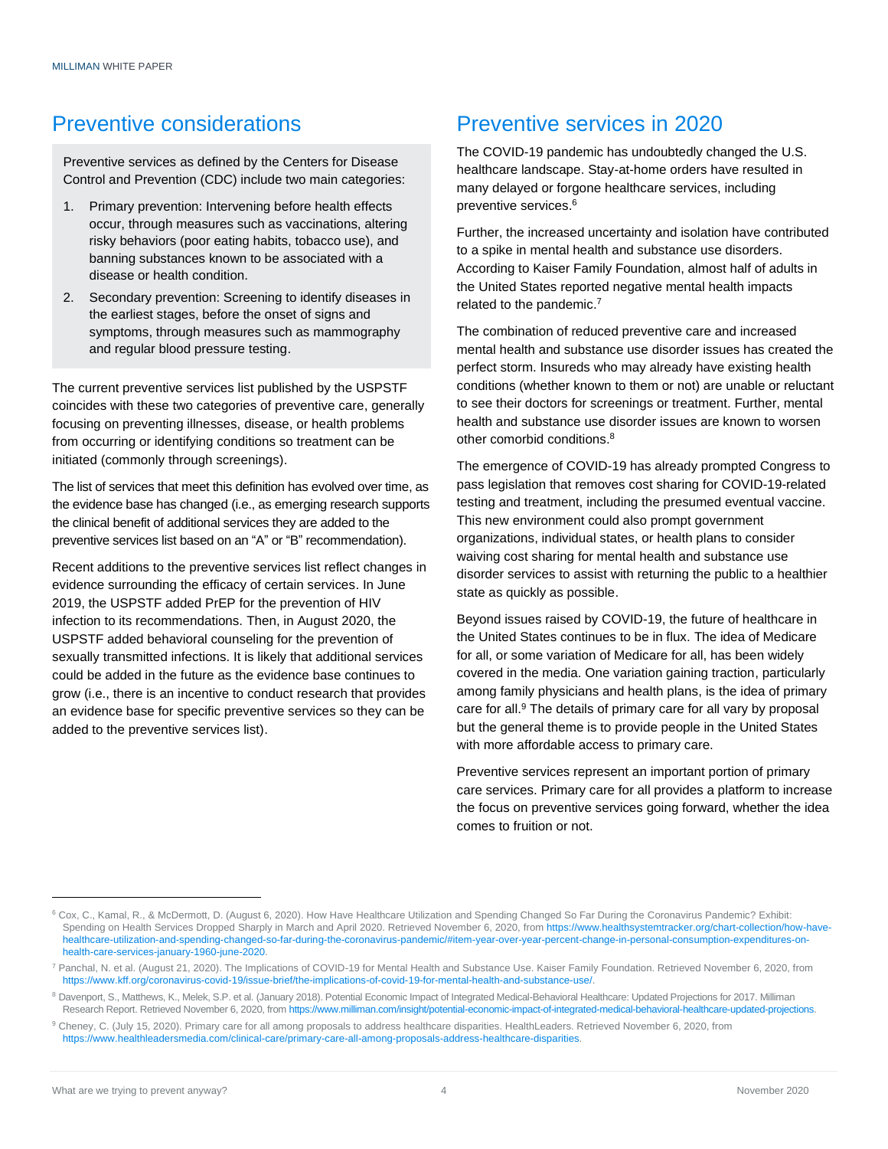### Preventive considerations

Preventive services as defined by the Centers for Disease Control and Prevention (CDC) include two main categories:

- 1. Primary prevention: Intervening before health effects occur, through measures such as vaccinations, altering risky behaviors (poor eating habits, tobacco use), and banning substances known to be associated with a disease or health condition.
- 2. Secondary prevention: Screening to identify diseases in the earliest stages, before the onset of signs and symptoms, through measures such as mammography and regular blood pressure testing.

The current preventive services list published by the USPSTF coincides with these two categories of preventive care, generally focusing on preventing illnesses, disease, or health problems from occurring or identifying conditions so treatment can be initiated (commonly through screenings).

The list of services that meet this definition has evolved over time, as the evidence base has changed (i.e., as emerging research supports the clinical benefit of additional services they are added to the preventive services list based on an "A" or "B" recommendation).

Recent additions to the preventive services list reflect changes in evidence surrounding the efficacy of certain services. In June 2019, the USPSTF added PrEP for the prevention of HIV infection to its recommendations. Then, in August 2020, the USPSTF added behavioral counseling for the prevention of sexually transmitted infections. It is likely that additional services could be added in the future as the evidence base continues to grow (i.e., there is an incentive to conduct research that provides an evidence base for specific preventive services so they can be added to the preventive services list).

### Preventive services in 2020

The COVID-19 pandemic has undoubtedly changed the U.S. healthcare landscape. Stay-at-home orders have resulted in many delayed or forgone healthcare services, including preventive services. 6

Further, the increased uncertainty and isolation have contributed to a spike in mental health and substance use disorders. According to Kaiser Family Foundation, almost half of adults in the United States reported negative mental health impacts related to the pandemic.<sup>7</sup>

The combination of reduced preventive care and increased mental health and substance use disorder issues has created the perfect storm. Insureds who may already have existing health conditions (whether known to them or not) are unable or reluctant to see their doctors for screenings or treatment. Further, mental health and substance use disorder issues are known to worsen other comorbid conditions. 8

The emergence of COVID-19 has already prompted Congress to pass legislation that removes cost sharing for COVID-19-related testing and treatment, including the presumed eventual vaccine. This new environment could also prompt government organizations, individual states, or health plans to consider waiving cost sharing for mental health and substance use disorder services to assist with returning the public to a healthier state as quickly as possible.

Beyond issues raised by COVID-19, the future of healthcare in the United States continues to be in flux. The idea of Medicare for all, or some variation of Medicare for all, has been widely covered in the media. One variation gaining traction, particularly among family physicians and health plans, is the idea of primary care for all.<sup>9</sup> The details of primary care for all vary by proposal but the general theme is to provide people in the United States with more affordable access to primary care.

Preventive services represent an important portion of primary care services. Primary care for all provides a platform to increase the focus on preventive services going forward, whether the idea comes to fruition or not.

<sup>6</sup> Cox, C., Kamal, R., & McDermott, D. (August 6, 2020). How Have Healthcare Utilization and Spending Changed So Far During the Coronavirus Pandemic? Exhibit: Spending on Health Services Dropped Sharply in March and April 2020. Retrieved November 6, 2020, fro[m https://www.healthsystemtracker.org/chart-collection/how-have](https://www.healthsystemtracker.org/chart-collection/how-have-healthcare-utilization-and-spending-changed-so-far-during-the-coronavirus-pandemic/%23item-year-over-year-percent-change-in-personal-consumption-expenditures-on-health-care-services-january-1960-june-2020)[healthcare-utilization-and-spending-changed-so-far-during-the-coronavirus-pandemic/#item-year-over-year-percent-change-in-personal-consumption-expenditures-on](https://www.healthsystemtracker.org/chart-collection/how-have-healthcare-utilization-and-spending-changed-so-far-during-the-coronavirus-pandemic/%23item-year-over-year-percent-change-in-personal-consumption-expenditures-on-health-care-services-january-1960-june-2020)[health-care-services-january-1960-june-2020.](https://www.healthsystemtracker.org/chart-collection/how-have-healthcare-utilization-and-spending-changed-so-far-during-the-coronavirus-pandemic/%23item-year-over-year-percent-change-in-personal-consumption-expenditures-on-health-care-services-january-1960-june-2020)

<sup>7</sup> Panchal, N. et al. (August 21, 2020). The Implications of COVID-19 for Mental Health and Substance Use. Kaiser Family Foundation. Retrieved November 6, 2020, from [https://www.kff.org/coronavirus-covid-19/issue-brief/the-implications-of-covid-19-for-mental-health-and-substance-use/.](https://www.kff.org/coronavirus-covid-19/issue-brief/the-implications-of-covid-19-for-mental-health-and-substance-use/)

<sup>&</sup>lt;sup>8</sup> Davenport, S., Matthews, K., Melek, S.P. et al. (January 2018). Potential Economic Impact of Integrated Medical-Behavioral Healthcare: Updated Projections for 2017. Milliman Research Report. Retrieved November 6, 2020, fro[m https://www.milliman.com/insight/potential-economic-impact-of-integrated-medical-behavioral-healthcare-updated-projections.](https://www.milliman.com/insight/potential-economic-impact-of-integrated-medical-behavioral-healthcare-updated-projections)

<sup>9</sup> Cheney, C. (July 15, 2020). Primary care for all among proposals to address healthcare disparities. HealthLeaders. Retrieved November 6, 2020, from [https://www.healthleadersmedia.com/clinical-care/primary-care-all-among-proposals-address-healthcare-disparities.](https://www.healthleadersmedia.com/clinical-care/primary-care-all-among-proposals-address-healthcare-disparities)